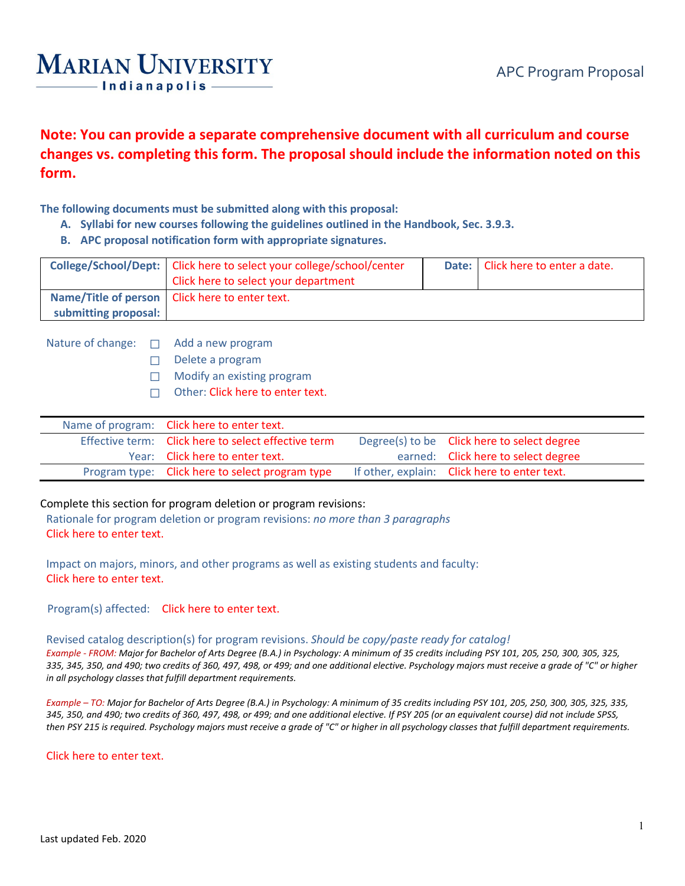## **MARIAN UNIVERSITY** - Indianapolis -

**Note: You can provide a separate comprehensive document with all curriculum and course changes vs. completing this form. The proposal should include the information noted on this form.**

**The following documents must be submitted along with this proposal:**

- **A. Syllabi for new courses following the guidelines outlined in the Handbook, Sec. 3.9.3.**
- **B. APC proposal notification form with appropriate signatures.**

|                      | College/School/Dept:   Click here to select your college/school/center<br>Click here to select your department | Date:   Click here to enter a date. |
|----------------------|----------------------------------------------------------------------------------------------------------------|-------------------------------------|
|                      | Name/Title of person   Click here to enter text.                                                               |                                     |
| submitting proposal: |                                                                                                                |                                     |

Nature of change: □ Add a new program

- ☐ Delete a program
- □ Modify an existing program
- ☐ Other: Click here to enter text.

| Name of program: Click here to enter text.          |                                              |
|-----------------------------------------------------|----------------------------------------------|
| Effective term: Click here to select effective term | Degree(s) to be Click here to select degree  |
| Year: Click here to enter text.                     | earned: Click here to select degree          |
| Program type: Click here to select program type     | If other, explain: Click here to enter text. |

## Complete this section for program deletion or program revisions:

Rationale for program deletion or program revisions: *no more than 3 paragraphs* Click here to enter text.

Impact on majors, minors, and other programs as well as existing students and faculty: Click here to enter text.

Program(s) affected: Click here to enter text.

## Revised catalog description(s) for program revisions. *Should be copy/paste ready for catalog!*

*Example - FROM: Major for Bachelor of Arts Degree (B.A.) in Psychology: A minimum of 35 credits including PSY 101, 205, 250, 300, 305, 325, 335, 345, 350, and 490; two credits of 360, 497, 498, or 499; and one additional elective. Psychology majors must receive a grade of "C" or higher in all psychology classes that fulfill department requirements.* 

*Example – TO: Major for Bachelor of Arts Degree (B.A.) in Psychology: A minimum of 35 credits including PSY 101, 205, 250, 300, 305, 325, 335, 345, 350, and 490; two credits of 360, 497, 498, or 499; and one additional elective. If PSY 205 (or an equivalent course) did not include SPSS, then PSY 215 is required. Psychology majors must receive a grade of "C" or higher in all psychology classes that fulfill department requirements.*

Click here to enter text.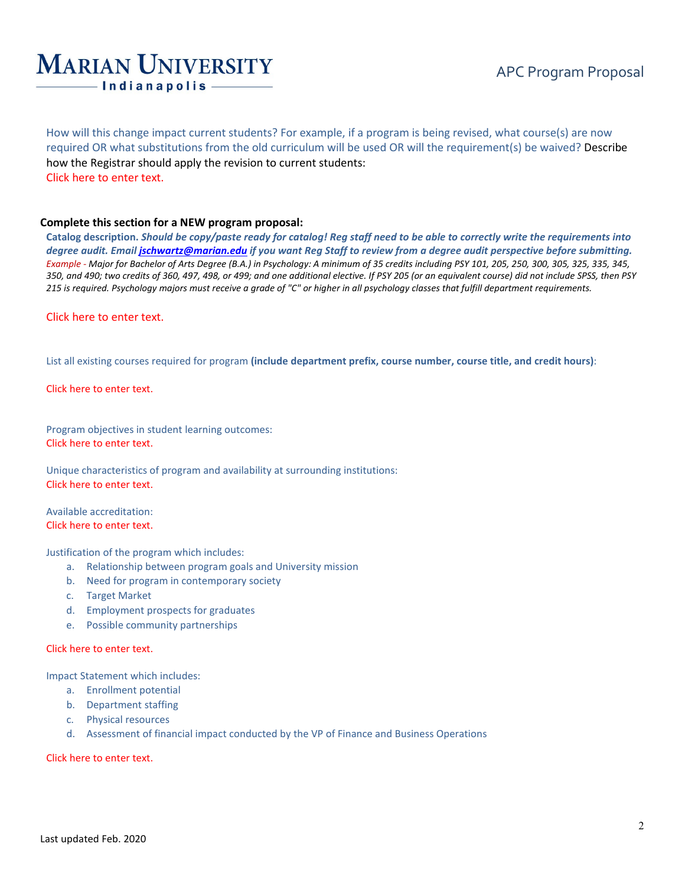## **MARIAN UNIVERSITY** - Indianapolis -

How will this change impact current students? For example, if a program is being revised, what course(s) are now required OR what substitutions from the old curriculum will be used OR will the requirement(s) be waived? Describe how the Registrar should apply the revision to current students: Click here to enter text.

## **Complete this section for a NEW program proposal:**

**Catalog description.** *Should be copy/paste ready for catalog! Reg staff need to be able to correctly write the requirements into degree audit. Emai[l jschwartz@marian.edu](mailto:jschwartz@marian.edu) if you want Reg Staff to review from a degree audit perspective before submitting. Example - Major for Bachelor of Arts Degree (B.A.) in Psychology: A minimum of 35 credits including PSY 101, 205, 250, 300, 305, 325, 335, 345, 350, and 490; two credits of 360, 497, 498, or 499; and one additional elective. If PSY 205 (or an equivalent course) did not include SPSS, then PSY 215 is required. Psychology majors must receive a grade of "C" or higher in all psychology classes that fulfill department requirements.*

## Click here to enter text.

List all existing courses required for program **(include department prefix, course number, course title, and credit hours)**:

Click here to enter text.

Program objectives in student learning outcomes: Click here to enter text.

Unique characteristics of program and availability at surrounding institutions: Click here to enter text.

Available accreditation: Click here to enter text.

Justification of the program which includes:

- a. Relationship between program goals and University mission
- b. Need for program in contemporary society
- c. Target Market
- d. Employment prospects for graduates
- e. Possible community partnerships

#### Click here to enter text.

Impact Statement which includes:

- a. Enrollment potential
- b. Department staffing
- c. Physical resources
- d. Assessment of financial impact conducted by the VP of Finance and Business Operations

Click here to enter text.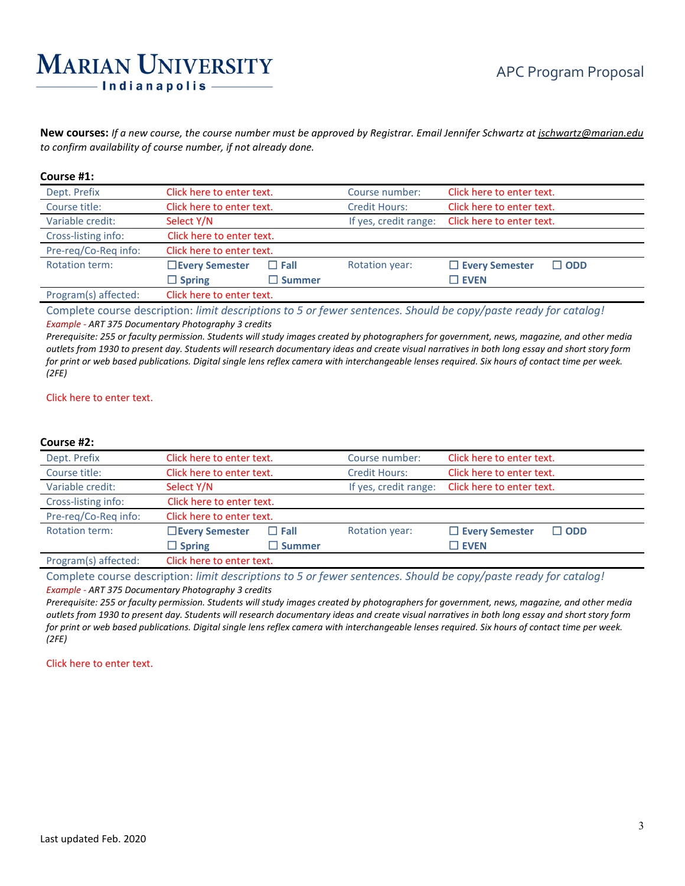# **MARIAN UNIVERSITY** Indianapolis

**New courses:** *If a new course, the course number must be approved by Registrar. Email Jennifer Schwartz a[t jschwartz@marian.edu](mailto:jschwartz@marian.edu) to confirm availability of course number, if not already done.*

#### **Course #1:**

| Dept. Prefix         | Click here to enter text. |               | Course number:        | Click here to enter text.              |  |
|----------------------|---------------------------|---------------|-----------------------|----------------------------------------|--|
| Course title:        | Click here to enter text. |               | <b>Credit Hours:</b>  | Click here to enter text.              |  |
| Variable credit:     | Select Y/N                |               | If yes, credit range: | Click here to enter text.              |  |
| Cross-listing info:  | Click here to enter text. |               |                       |                                        |  |
| Pre-reg/Co-Reg info: | Click here to enter text. |               |                       |                                        |  |
| Rotation term:       | □ Every Semester          | $\Box$ Fall   | <b>Rotation year:</b> | $\Box$ Every Semester<br>$\square$ ODD |  |
|                      | $\Box$ Spring             | $\Box$ Summer |                       | $\square$ EVEN                         |  |
| Program(s) affected: | Click here to enter text. |               |                       |                                        |  |

Complete course description: *limit descriptions to 5 or fewer sentences. Should be copy/paste ready for catalog! Example - ART 375 Documentary Photography 3 credits*

*Prerequisite: 255 or faculty permission. Students will study images created by photographers for government, news, magazine, and other media outlets from 1930 to present day. Students will research documentary ideas and create visual narratives in both long essay and short story form for print or web based publications. Digital single lens reflex camera with interchangeable lenses required. Six hours of contact time per week. (2FE)*

#### Click here to enter text.

#### **Course #2:**

| Dept. Prefix          | Click here to enter text. |                  | Course number:        | Click here to enter text. |            |
|-----------------------|---------------------------|------------------|-----------------------|---------------------------|------------|
| Course title:         | Click here to enter text. |                  | <b>Credit Hours:</b>  | Click here to enter text. |            |
| Variable credit:      | Select Y/N                |                  | If yes, credit range: | Click here to enter text. |            |
| Cross-listing info:   | Click here to enter text. |                  |                       |                           |            |
| Pre-reg/Co-Reg info:  | Click here to enter text. |                  |                       |                           |            |
| <b>Rotation term:</b> | □ Every Semester          | $\Box$ Fall      | <b>Rotation year:</b> | $\Box$ Every Semester     | $\Box$ ODD |
|                       | $\Box$ Spring             | $\square$ Summer |                       | $\square$ EVEN            |            |
| Program(s) affected:  | Click here to enter text. |                  |                       |                           |            |

Complete course description: *limit descriptions to 5 or fewer sentences. Should be copy/paste ready for catalog! Example - ART 375 Documentary Photography 3 credits*

*Prerequisite: 255 or faculty permission. Students will study images created by photographers for government, news, magazine, and other media outlets from 1930 to present day. Students will research documentary ideas and create visual narratives in both long essay and short story form for print or web based publications. Digital single lens reflex camera with interchangeable lenses required. Six hours of contact time per week. (2FE)*

Click here to enter text.